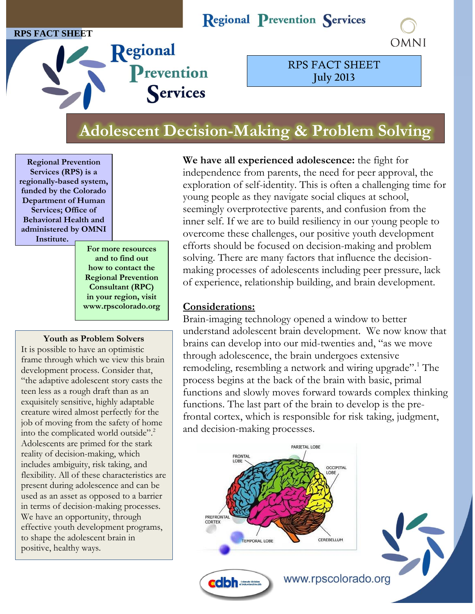#### **RPS FACT SHEET**

## **Regional Prevention Services**



Regional Prevention Services

RPS FACT SHEET **July 2013**

# **Adolescent Decision-Making & Problem Solving**

**Regional Prevention Services (RPS) is a regionally-based system, funded by the Colorado Department of Human Services; Office of Behavioral Health and administered by OMNI Institute.**

> **For more resources and to find out how to contact the Regional Prevention Consultant (RPC) in your region, visit www.rpscolorado.org**

#### **Youth as Problem Solvers**

It is possible to have an optimistic frame through which we view this brain development process. Consider that, "the adaptive adolescent story casts the teen less as a rough draft than as an exquisitely sensitive, highly adaptable creature wired almost perfectly for the job of moving from the safety of home into the complicated world outside". 2 Adolescents are primed for the stark reality of decision-making, which includes ambiguity, risk taking, and flexibility. All of these characteristics are present during adolescence and can be used as an asset as opposed to a barrier in terms of decision-making processes. We have an opportunity, through effective youth development programs, to shape the adolescent brain in positive, healthy ways.

**We have all experienced adolescence:** the fight for independence from parents, the need for peer approval, the exploration of self-identity. This is often a challenging time for young people as they navigate social cliques at school, seemingly overprotective parents, and confusion from the inner self. If we are to build resiliency in our young people to overcome these challenges, our positive youth development efforts should be focused on decision-making and problem solving. There are many factors that influence the decisionmaking processes of adolescents including peer pressure, lack of experience, relationship building, and brain development.

### **Considerations:**

Brain-imaging technology opened a window to better understand adolescent brain development. We now know that brains can develop into our mid-twenties and, "as we move through adolescence, the brain undergoes extensive remodeling, resembling a network and wiring upgrade".<sup>1</sup> The process begins at the back of the brain with basic, primal functions and slowly moves forward towards complex thinking functions. The last part of the brain to develop is the prefrontal cortex, which is responsible for risk taking, judgment, and decision-making processes.